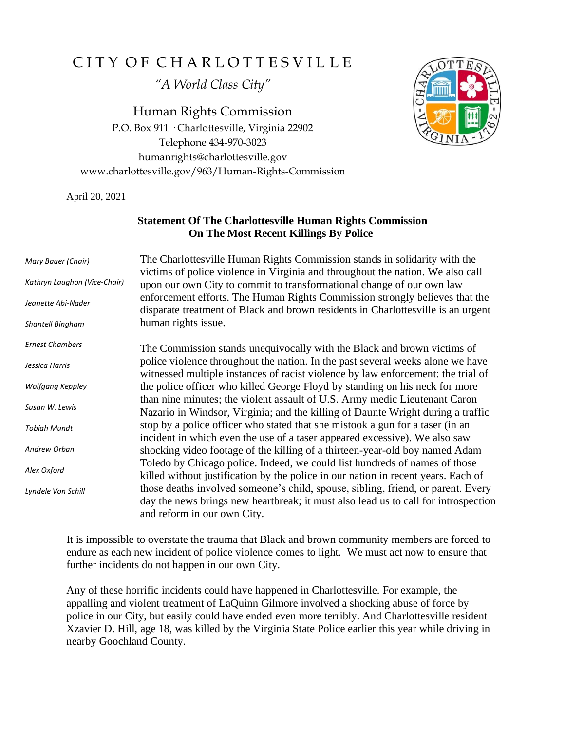## CITY OF CHARLOTTESVILLE

*"A World Class City"*

Human Rights Commission P.O. Box 911 · Charlottesville, Virginia 22902 Telephone 434-970-3023 humanrights@charlottesville.gov www.charlottesville.gov/963/Human-Rights-Commission



April 20, 2021

## **Statement Of The Charlottesville Human Rights Commission On The Most Recent Killings By Police**

| Mary Bauer (Chair)           | The Charlottesville Human Rights Commission stands in solidarity with the<br>victims of police violence in Virginia and throughout the nation. We also call                                           |
|------------------------------|-------------------------------------------------------------------------------------------------------------------------------------------------------------------------------------------------------|
| Kathryn Laughon (Vice-Chair) | upon our own City to commit to transformational change of our own law                                                                                                                                 |
| Jeanette Abi-Nader           | enforcement efforts. The Human Rights Commission strongly believes that the<br>disparate treatment of Black and brown residents in Charlottesville is an urgent                                       |
| Shantell Bingham             | human rights issue.                                                                                                                                                                                   |
| <b>Ernest Chambers</b>       | The Commission stands unequivocally with the Black and brown victims of                                                                                                                               |
| Jessica Harris               | police violence throughout the nation. In the past several weeks alone we have<br>witnessed multiple instances of racist violence by law enforcement: the trial of                                    |
| Wolfgang Keppley             | the police officer who killed George Floyd by standing on his neck for more                                                                                                                           |
| Susan W. Lewis               | than nine minutes; the violent assault of U.S. Army medic Lieutenant Caron<br>Nazario in Windsor, Virginia; and the killing of Daunte Wright during a traffic                                         |
| <b>Tobiah Mundt</b>          | stop by a police officer who stated that she mistook a gun for a taser (in an<br>incident in which even the use of a taser appeared excessive). We also saw                                           |
| Andrew Orban                 | shocking video footage of the killing of a thirteen-year-old boy named Adam                                                                                                                           |
| Alex Oxford                  | Toledo by Chicago police. Indeed, we could list hundreds of names of those<br>killed without justification by the police in our nation in recent years. Each of                                       |
| Lyndele Von Schill           | those deaths involved someone's child, spouse, sibling, friend, or parent. Every<br>day the news brings new heartbreak; it must also lead us to call for introspection<br>and reform in our own City. |

It is impossible to overstate the trauma that Black and brown community members are forced to endure as each new incident of police violence comes to light. We must act now to ensure that further incidents do not happen in our own City.

Any of these horrific incidents could have happened in Charlottesville. For example, the appalling and violent treatment of LaQuinn Gilmore involved a shocking abuse of force by police in our City, but easily could have ended even more terribly. And Charlottesville resident Xzavier D. Hill, age 18, was killed by the Virginia State Police earlier this year while driving in nearby Goochland County.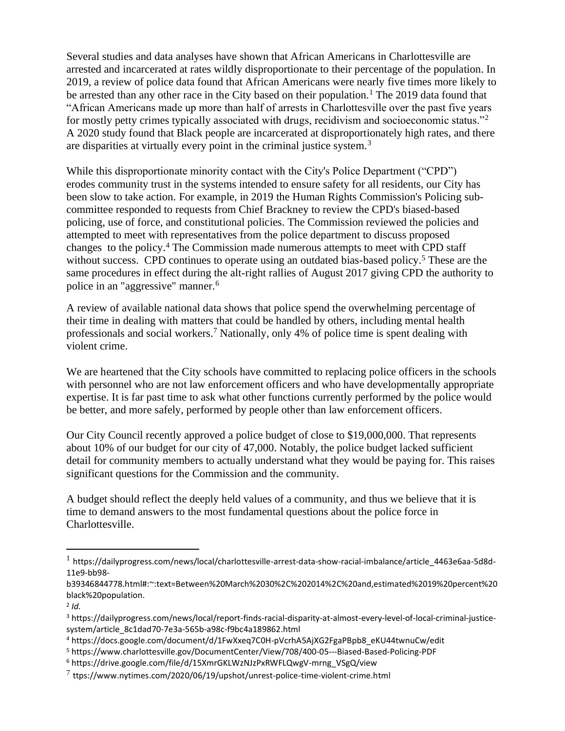Several studies and data analyses have shown that African Americans in Charlottesville are arrested and incarcerated at rates wildly disproportionate to their percentage of the population. In 2019, a review of police data found that African Americans were nearly five times more likely to be arrested than any other race in the City based on their population.<sup>1</sup> The 2019 data found that "African Americans made up more than half of arrests in Charlottesville over the past five years for mostly petty crimes typically associated with drugs, recidivism and socioeconomic status."<sup>2</sup> A 2020 study found that Black people are incarcerated at disproportionately high rates, and there are disparities at virtually every point in the criminal justice system.<sup>3</sup>

While this disproportionate minority contact with the City's Police Department ("CPD") erodes community trust in the systems intended to ensure safety for all residents, our City has been slow to take action. For example, in 2019 the Human Rights Commission's Policing subcommittee responded to requests from Chief Brackney to review the CPD's biased-based policing, use of force, and constitutional policies. The Commission reviewed the policies and attempted to meet with representatives from the police department to discuss proposed changes to the policy.<sup>4</sup> The Commission made numerous attempts to meet with CPD staff without success. CPD continues to operate using an outdated bias-based policy.<sup>5</sup> These are the same procedures in effect during the alt-right rallies of August 2017 giving CPD the authority to police in an "aggressive" manner.<sup>6</sup>

A review of available national data shows that police spend the overwhelming percentage of their time in dealing with matters that could be handled by others, including mental health professionals and social workers.<sup>7</sup> Nationally, only 4% of police time is spent dealing with violent crime.

We are heartened that the City schools have committed to replacing police officers in the schools with personnel who are not law enforcement officers and who have developmentally appropriate expertise. It is far past time to ask what other functions currently performed by the police would be better, and more safely, performed by people other than law enforcement officers.

Our City Council recently approved a police budget of close to \$19,000,000. That represents about 10% of our budget for our city of 47,000. Notably, the police budget lacked sufficient detail for community members to actually understand what they would be paying for. This raises significant questions for the Commission and the community.

A budget should reflect the deeply held values of a community, and thus we believe that it is time to demand answers to the most fundamental questions about the police force in Charlottesville.

2 *Id.* 

<sup>5</sup> https://www.charlottesville.gov/DocumentCenter/View/708/400-05---Biased-Based-Policing-PDF

<sup>1</sup> https://dailyprogress.com/news/local/charlottesville-arrest-data-show-racial-imbalance/article\_4463e6aa-5d8d-11e9-bb98-

b39346844778.html#:~:text=Between%20March%2030%2C%202014%2C%20and,estimated%2019%20percent%20 black%20population.

<sup>3</sup> https://dailyprogress.com/news/local/report-finds-racial-disparity-at-almost-every-level-of-local-criminal-justicesystem/article\_8c1dad70-7e3a-565b-a98c-f9bc4a189862.html

<sup>4</sup> https://docs.google.com/document/d/1FwXxeq7C0H-pVcrhA5AjXG2FgaPBpb8\_eKU44twnuCw/edit

<sup>6</sup> https://drive.google.com/file/d/15XmrGKLWzNJzPxRWFLQwgV-mrng\_VSgQ/view

 $^7$  ttps://www.nytimes.com/2020/06/19/upshot/unrest-police-time-violent-crime.html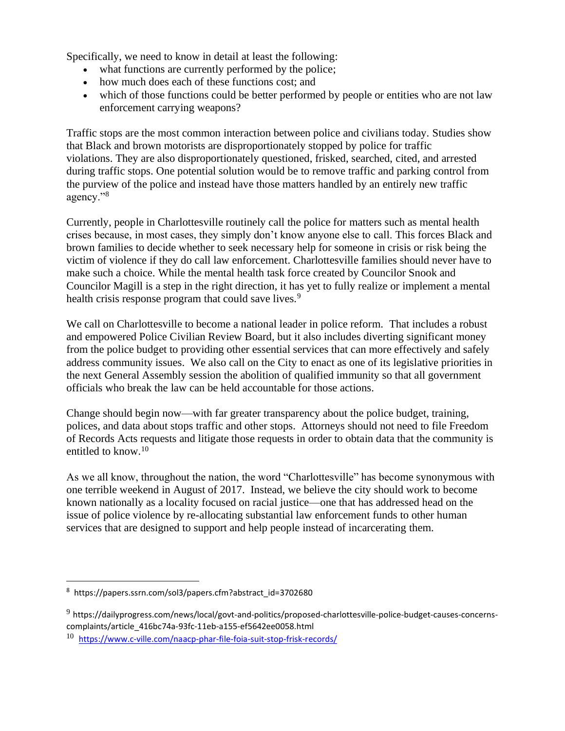Specifically, we need to know in detail at least the following:

- what functions are currently performed by the police;
- how much does each of these functions cost; and
- which of those functions could be better performed by people or entities who are not law enforcement carrying weapons?

Traffic stops are the most common interaction between police and civilians today. Studies show that Black and brown motorists are disproportionately stopped by police for traffic violations. They are also disproportionately questioned, frisked, searched, cited, and arrested during traffic stops. One potential solution would be to remove traffic and parking control from the purview of the police and instead have those matters handled by an entirely new traffic agency."<sup>8</sup>

Currently, people in Charlottesville routinely call the police for matters such as mental health crises because, in most cases, they simply don't know anyone else to call. This forces Black and brown families to decide whether to seek necessary help for someone in crisis or risk being the victim of violence if they do call law enforcement. Charlottesville families should never have to make such a choice. While the mental health task force created by Councilor Snook and Councilor Magill is a step in the right direction, it has yet to fully realize or implement a mental health crisis response program that could save lives.<sup>9</sup>

We call on Charlottesville to become a national leader in police reform. That includes a robust and empowered Police Civilian Review Board, but it also includes diverting significant money from the police budget to providing other essential services that can more effectively and safely address community issues. We also call on the City to enact as one of its legislative priorities in the next General Assembly session the abolition of qualified immunity so that all government officials who break the law can be held accountable for those actions.

Change should begin now—with far greater transparency about the police budget, training, polices, and data about stops traffic and other stops. Attorneys should not need to file Freedom of Records Acts requests and litigate those requests in order to obtain data that the community is entitled to know.<sup>10</sup>

As we all know, throughout the nation, the word "Charlottesville" has become synonymous with one terrible weekend in August of 2017. Instead, we believe the city should work to become known nationally as a locality focused on racial justice—one that has addressed head on the issue of police violence by re-allocating substantial law enforcement funds to other human services that are designed to support and help people instead of incarcerating them.

<sup>8</sup> https://papers.ssrn.com/sol3/papers.cfm?abstract\_id=3702680

<sup>9</sup> https://dailyprogress.com/news/local/govt-and-politics/proposed-charlottesville-police-budget-causes-concernscomplaints/article\_416bc74a-93fc-11eb-a155-ef5642ee0058.html

<sup>10</sup> <https://www.c-ville.com/naacp-phar-file-foia-suit-stop-frisk-records/>